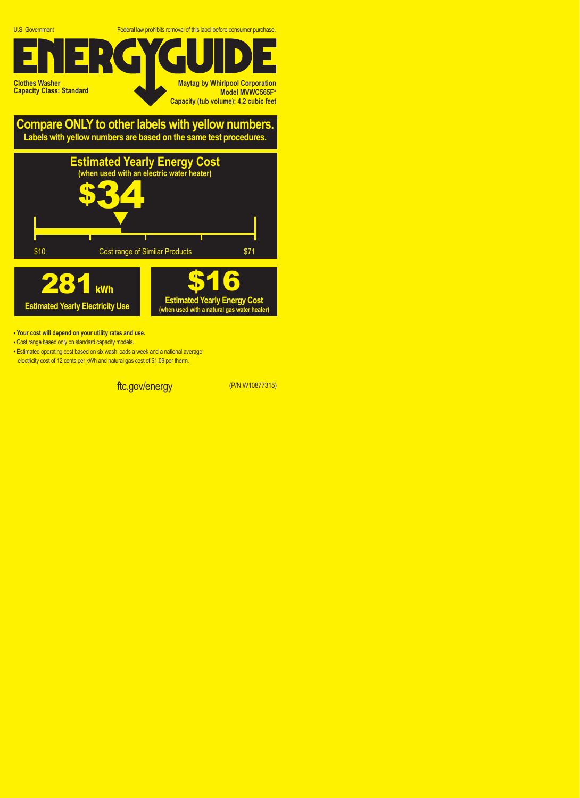U.S. Government Federal law prohibits removal of this label before consumer purchase.

ftc.gov/energy (P/N W10877315)

**Clothes Washer Capacity Class: Standard**

**Maytag by Whirlpool Corporation Model MVWC565F\* Capacity (tub volume): 4.2 cubic feet**

**Compare ONLY to other labels with yellow numbers. Labels with yellow numbers are based on the same test procedures.**



- **Your cost will depend on your utility rates and use.**
- **•** Cost range based only on standard capacity models.
- **•** Estimated operating cost based on six wash loads a week and a national average electricity cost of 12 cents per kWh and natural gas cost of \$1.09 per therm.